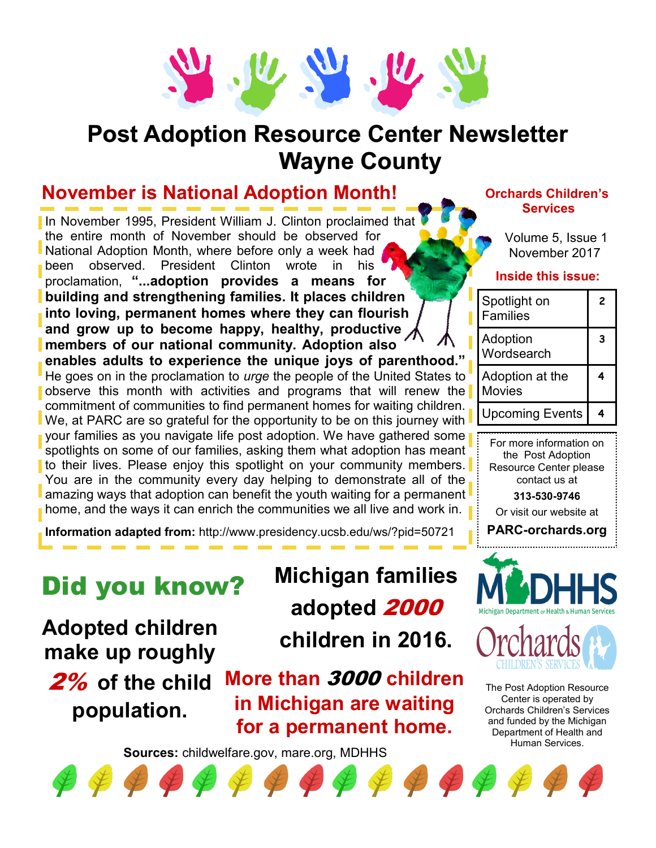

## **Post Adoption Resource Center Newsletter Wayne County**

## **November is National Adoption Month!**

In November 1995, President William J. Clinton proclaimed that the entire month of November should be observed for National Adoption Month, where before only a week had been observed. President Clinton wrote in his proclamation, **"...adoption provides a means for building and strengthening families. It places children into loving, permanent homes where they can flourish and grow up to become happy, healthy, productive members of our national community. Adoption also enables adults to experience the unique joys of parenthood."** He goes on in the proclamation to *urge* the people of the United States to observe this month with activities and programs that will renew the commitment of communities to find permanent homes for waiting children. We, at PARC are so grateful for the opportunity to be on this journey with your families as you navigate life post adoption. We have gathered some spotlights on some of our families, asking them what adoption has meant to their lives. Please enjoy this spotlight on your community members. You are in the community every day helping to demonstrate all of the amazing ways that adoption can benefit the youth waiting for a permanent home, and the ways it can enrich the communities we all live and work in.

**Information adapted from:** http://www.presidency.ucsb.edu/ws/?pid=50721

## Did you know?

**Adopted children make up roughly** 

2% **of the child population.** 

# **Michigan families adopted** 2000 **children in 2016.**

**More than** 3000 **children in Michigan are waiting for a permanent home.** 

**Sources:** childwelfare.gov, mare.org, MDHHS

#### **Orchards Children's Services**

Volume 5, Issue 1 November 2017

#### **Inside this issue:**

| Spotlight on<br><b>Families</b>  | 2 |
|----------------------------------|---|
| Adoption<br>Wordsearch           | З |
| Adoption at the<br><b>Movies</b> |   |
| <b>Upcoming Events</b>           |   |

For more information on the Post Adoption Resource Center please contact us at

**313-530-9746** Or visit our website at

**PARC-orchards.org**





The Post Adoption Resource Center is operated by Orchards Children's Services and funded by the Michigan Department of Health and Human Services.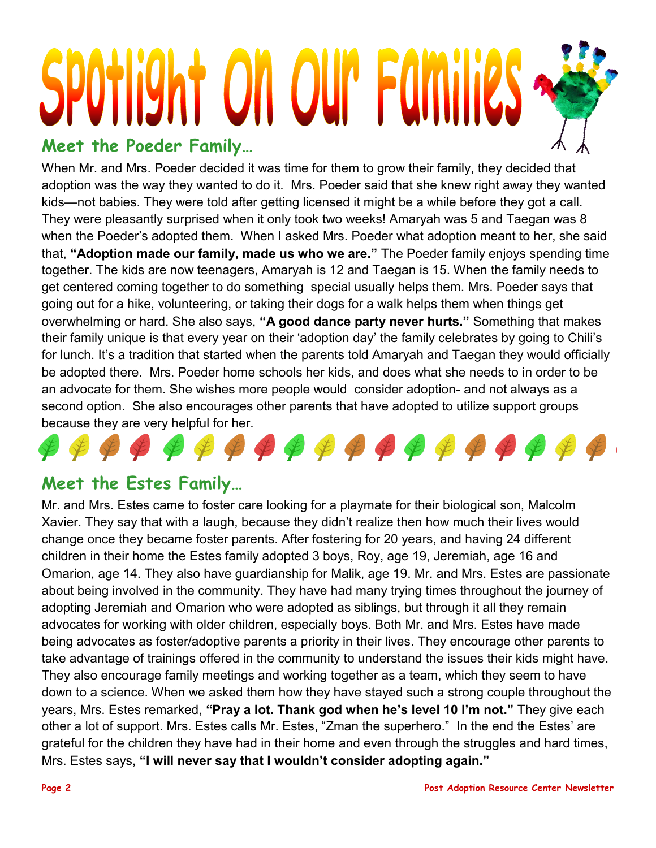# **t on our Far Meet the Poeder Family…**

When Mr. and Mrs. Poeder decided it was time for them to grow their family, they decided that adoption was the way they wanted to do it. Mrs. Poeder said that she knew right away they wanted kids—not babies. They were told after getting licensed it might be a while before they got a call. They were pleasantly surprised when it only took two weeks! Amaryah was 5 and Taegan was 8 when the Poeder's adopted them. When I asked Mrs. Poeder what adoption meant to her, she said that, **"Adoption made our family, made us who we are."** The Poeder family enjoys spending time together. The kids are now teenagers, Amaryah is 12 and Taegan is 15. When the family needs to get centered coming together to do something special usually helps them. Mrs. Poeder says that going out for a hike, volunteering, or taking their dogs for a walk helps them when things get overwhelming or hard. She also says, **"A good dance party never hurts."** Something that makes their family unique is that every year on their 'adoption day' the family celebrates by going to Chili's for lunch. It's a tradition that started when the parents told Amaryah and Taegan they would officially be adopted there. Mrs. Poeder home schools her kids, and does what she needs to in order to be an advocate for them. She wishes more people would consider adoption- and not always as a second option. She also encourages other parents that have adopted to utilize support groups because they are very helpful for her.



### **Meet the Estes Family…**

Mr. and Mrs. Estes came to foster care looking for a playmate for their biological son, Malcolm Xavier. They say that with a laugh, because they didn't realize then how much their lives would change once they became foster parents. After fostering for 20 years, and having 24 different children in their home the Estes family adopted 3 boys, Roy, age 19, Jeremiah, age 16 and Omarion, age 14. They also have guardianship for Malik, age 19. Mr. and Mrs. Estes are passionate about being involved in the community. They have had many trying times throughout the journey of adopting Jeremiah and Omarion who were adopted as siblings, but through it all they remain advocates for working with older children, especially boys. Both Mr. and Mrs. Estes have made being advocates as foster/adoptive parents a priority in their lives. They encourage other parents to take advantage of trainings offered in the community to understand the issues their kids might have. They also encourage family meetings and working together as a team, which they seem to have down to a science. When we asked them how they have stayed such a strong couple throughout the years, Mrs. Estes remarked, **"Pray a lot. Thank god when he's level 10 I'm not."** They give each other a lot of support. Mrs. Estes calls Mr. Estes, "Zman the superhero." In the end the Estes' are grateful for the children they have had in their home and even through the struggles and hard times, Mrs. Estes says, **"I will never say that I wouldn't consider adopting again."**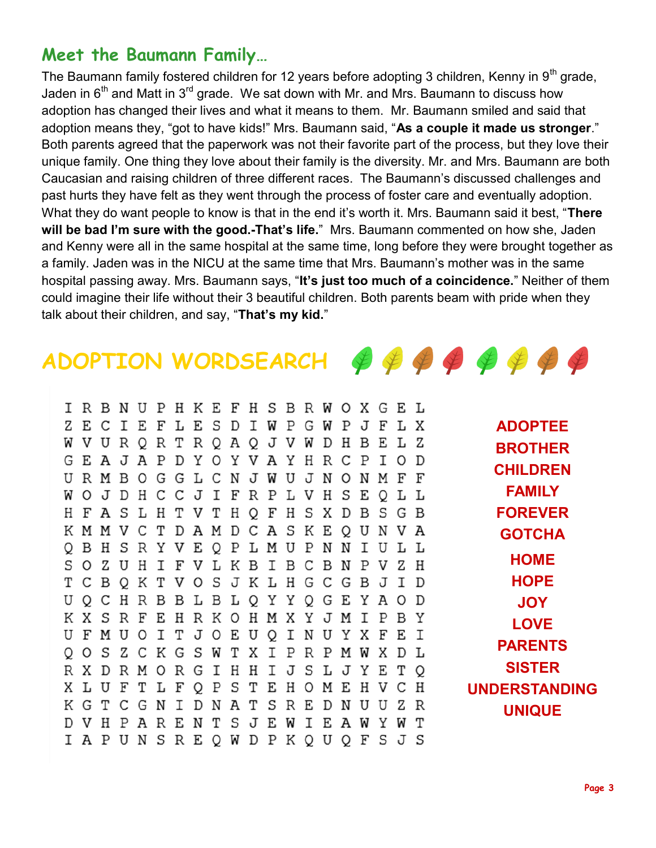### **Meet the Baumann Family…**

The Baumann family fostered children for 12 years before adopting 3 children, Kenny in  $9<sup>th</sup>$  grade, Jaden in  $6<sup>th</sup>$  and Matt in  $3<sup>rd</sup>$  grade. We sat down with Mr. and Mrs. Baumann to discuss how adoption has changed their lives and what it means to them. Mr. Baumann smiled and said that adoption means they, "got to have kids!" Mrs. Baumann said, "**As a couple it made us stronger**." Both parents agreed that the paperwork was not their favorite part of the process, but they love their unique family. One thing they love about their family is the diversity. Mr. and Mrs. Baumann are both Caucasian and raising children of three different races. The Baumann's discussed challenges and past hurts they have felt as they went through the process of foster care and eventually adoption. What they do want people to know is that in the end it's worth it. Mrs. Baumann said it best, "**There will be bad I'm sure with the good.-That's life.**" Mrs. Baumann commented on how she, Jaden and Kenny were all in the same hospital at the same time, long before they were brought together as a family. Jaden was in the NICU at the same time that Mrs. Baumann's mother was in the same hospital passing away. Mrs. Baumann says, "**It's just too much of a coincidence.**" Neither of them could imagine their life without their 3 beautiful children. Both parents beam with pride when they talk about their children, and say, "**That's my kid.**"

## ADOPTION WORDSEARCH  $\oint \oint \oint \oint \oint \oint \oint \oint$

I R B N U P H K E F H S B R W O X G E L Z E C I E F L E S D I W P G W P J F L X **ADOPTEE** W V U R Q R T R Q A Q J V W D H B E L Z **BROTHER** GEAJAPDYOYVAYHRCPIOD **CHILDREN** URMBOGGLCNJWUJNONMFF **FAMILY** WOJDHCCJIFRPLVHSEQLL H F A S L H T V T H Q F H S X D B S G B **FOREVER** K M M V C T D A M D C A S K E Q U N V A **GOTCHA** Q B H S R Y V E Q P L M U P N N I U L L **HOME** S O Z U H I F V L K B I B C B N P V Z H **HOPE** T C B Q K T V O S J K L H G C G B J I D U Q C H R B B L B L Q Y Y Q G E Y A O D **JOY** K X S R F E H R K O H M X Y J M I P B Y **LOVE** U F M U O I T J O E U Q I N U Y X F E I **PARENTS** Q O S Z C K G S W T X I P R P M W X D L **SISTER** R X D R M O R G I H H I J S L J Y E T Q X L U F T L F Q P S T E H O M E H V C H **UNDERSTANDING** K G T C G N I D N A T S R E D N U U Z R **UNIQUE**D V H P A R E N T S J E W I E A W Y W T I A P U N S R E Q W D P K Q U Q F S J S